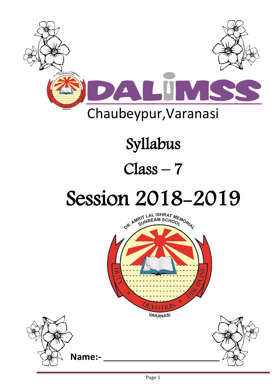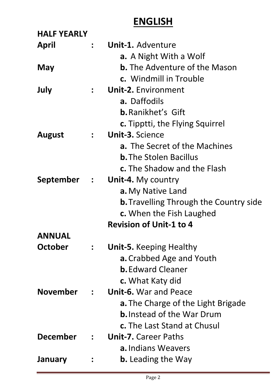## **ENGLISH**

| <b>HALF YEARLY</b> |                  |                                               |
|--------------------|------------------|-----------------------------------------------|
| <b>April</b>       | $\mathbf{r}$     | Unit-1. Adventure                             |
|                    |                  | <b>a.</b> A Night With a Wolf                 |
| <b>May</b>         |                  | <b>b.</b> The Adventure of the Mason          |
|                    |                  | c. Windmill in Trouble                        |
| July               | $\ddot{\bullet}$ | <b>Unit-2. Environment</b>                    |
|                    |                  | a. Daffodils                                  |
|                    |                  | <b>b.</b> Ranikhet's Gift                     |
|                    |                  | <b>c.</b> Tipptti, the Flying Squirrel        |
| <b>August</b>      | $\mathbf{L}$     | <b>Unit-3. Science</b>                        |
|                    |                  | <b>a.</b> The Secret of the Machines          |
|                    |                  | <b>b.</b> The Stolen Bacillus                 |
|                    |                  | <b>c.</b> The Shadow and the Flash            |
| September :        |                  | <b>Unit-4.</b> My country                     |
|                    |                  | a. My Native Land                             |
|                    |                  | <b>b.</b> Travelling Through the Country side |
|                    |                  | c. When the Fish Laughed                      |
|                    |                  | <b>Revision of Unit-1 to 4</b>                |
| <b>ANNUAL</b>      |                  |                                               |
| October            | $\ddot{\bullet}$ | <b>Unit-5.</b> Keeping Healthy                |
|                    |                  | <b>a.</b> Crabbed Age and Youth               |
|                    |                  | <b>b.</b> Edward Cleaner                      |
|                    |                  | c. What Katy did                              |
| <b>November</b>    | $\mathbf{L}$     | <b>Unit-6.</b> War and Peace                  |
|                    |                  | <b>a.</b> The Charge of the Light Brigade     |
|                    |                  | <b>b.</b> Instead of the War Drum             |
|                    |                  | <b>c.</b> The Last Stand at Chusul            |
| <b>December</b>    | $\mathcal{L}$    | <b>Unit-7.</b> Career Paths                   |
|                    |                  | <b>a.</b> Indians Weavers                     |
| <b>January</b>     |                  | <b>b.</b> Leading the Way                     |
|                    |                  |                                               |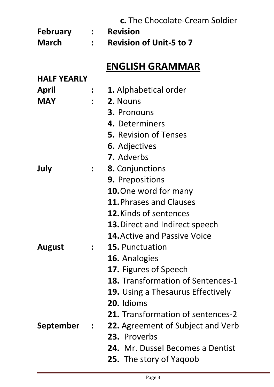|                    |                             | c. The Chocolate-Cream Soldier           |
|--------------------|-----------------------------|------------------------------------------|
| <b>February</b>    | $\mathcal{L} = \mathcal{L}$ | <b>Revision</b>                          |
| <b>March</b>       | $\mathbf{r}$                | <b>Revision of Unit-5 to 7</b>           |
|                    |                             |                                          |
|                    |                             | <b>ENGLISH GRAMMAR</b>                   |
| <b>HALF YEARLY</b> |                             |                                          |
| April              |                             | <b>1.</b> Alphabetical order             |
| <b>MAY</b>         |                             | <b>2. Nouns</b>                          |
|                    |                             | 3. Pronouns                              |
|                    |                             | 4. Determiners                           |
|                    |                             | <b>5.</b> Revision of Tenses             |
|                    |                             | <b>6.</b> Adjectives                     |
|                    |                             | <b>7.</b> Adverbs                        |
| July               | $\mathbf{L}$                | 8. Conjunctions                          |
|                    |                             | <b>9. Prepositions</b>                   |
|                    |                             | <b>10.</b> One word for many             |
|                    |                             | 11. Phrases and Clauses                  |
|                    |                             | <b>12. Kinds of sentences</b>            |
|                    |                             | <b>13. Direct and Indirect speech</b>    |
|                    |                             | <b>14. Active and Passive Voice</b>      |
| <b>August</b>      | $\mathbf{r}$                | <b>15. Punctuation</b>                   |
|                    |                             | 16. Analogies                            |
|                    |                             | <b>17.</b> Figures of Speech             |
|                    |                             | <b>18.</b> Transformation of Sentences-1 |
|                    |                             | <b>19.</b> Using a Thesaurus Effectively |
|                    |                             | 20. Idioms                               |
|                    |                             | <b>21.</b> Transformation of sentences-2 |
| September          | $\mathcal{L}(\mathcal{L})$  | <b>22.</b> Agreement of Subject and Verb |
|                    |                             | 23. Proverbs                             |
|                    |                             | <b>24.</b> Mr. Dussel Becomes a Dentist  |
|                    |                             | <b>25.</b> The story of Yaqoob           |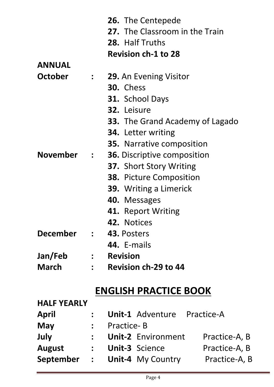|                 |                      | <b>26.</b> The Centepede               |
|-----------------|----------------------|----------------------------------------|
|                 |                      | 27. The Classroom in the Train         |
|                 |                      | 28. Half Truths                        |
|                 |                      | <b>Revision ch-1 to 28</b>             |
| <b>ANNUAL</b>   |                      |                                        |
| <b>October</b>  | $\ddot{\phantom{a}}$ | <b>29.</b> An Evening Visitor          |
|                 |                      | <b>30.</b> Chess                       |
|                 |                      | <b>31.</b> School Days                 |
|                 |                      | 32. Leisure                            |
|                 |                      | <b>33.</b> The Grand Academy of Lagado |
|                 |                      | <b>34.</b> Letter writing              |
|                 |                      | <b>35.</b> Narrative composition       |
| <b>November</b> |                      | <b>36.</b> Discriptive composition     |
|                 |                      | <b>37. Short Story Writing</b>         |
|                 |                      | <b>38.</b> Picture Composition         |
|                 |                      | 39. Writing a Limerick                 |
|                 |                      | 40. Messages                           |
|                 |                      | 41. Report Writing                     |
|                 |                      | <b>42. Notices</b>                     |
| December        |                      | $\therefore$ 43. Posters               |
|                 |                      | 44. E-mails                            |
| Jan/Feb         |                      | : Revision                             |
| <b>March</b>    |                      | $\therefore$ Revision ch-29 to 44      |
|                 |                      |                                        |

## **ENGLISH PRACTICE BOOK**

| <b>HALF YEARLY</b> |              |                   |                           |               |
|--------------------|--------------|-------------------|---------------------------|---------------|
| <b>April</b>       |              |                   | <b>Unit-1 Adventure</b>   | Practice-A    |
| May                | $\mathbf{r}$ | <b>Practice-B</b> |                           |               |
| July               | $\mathbf{r}$ |                   | <b>Unit-2 Environment</b> | Practice-A, B |
| <b>August</b>      |              |                   | <b>Unit-3 Science</b>     | Practice-A, B |
| September          | $\mathbf{r}$ |                   | <b>Unit-4 My Country</b>  | Practice-A, B |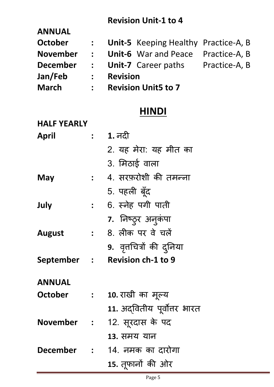#### **Revision Unit-1 to 4**

| <b>ANNUAL</b>   |               |                 |                                             |               |
|-----------------|---------------|-----------------|---------------------------------------------|---------------|
| <b>October</b>  | $\frac{1}{2}$ |                 | <b>Unit-5</b> Keeping Healthy Practice-A, B |               |
| <b>November</b> | $\mathbf{L}$  |                 | <b>Unit-6</b> War and Peace Practice-A, B   |               |
| <b>December</b> | $\mathbf{L}$  |                 | <b>Unit-7</b> Career paths                  | Practice-A, B |
| Jan/Feb         | $\frac{1}{2}$ | <b>Revision</b> |                                             |               |
| <b>March</b>    | $\mathbf{r}$  |                 | <b>Revision Unit5 to 7</b>                  |               |

#### **HINDI**

| <b>HALF YEARLY</b> |                  |                              |
|--------------------|------------------|------------------------------|
| <b>April</b>       | $\ddot{\bullet}$ | <u>1. नदी</u>                |
|                    |                  | 2. यह मेरा: यह मीत का        |
|                    |                  | 3. मिठाई वाला                |
| May                | $\mathbf{L}$     | 4. सरफ़रोशी की तमन्ना        |
|                    |                  | 5. पहली बूँद                 |
| July               | $\ddot{\bullet}$ | 6. स्नेह पगी पाती            |
|                    |                  | 7. निष्ठ्र अनुकंपा           |
| <b>August</b>      | $\ddot{\cdot}$   | 8. लीक पर वे चलें            |
|                    |                  | 9. वृत्तचित्रों की दुनिया    |
| September          |                  | : Revision ch-1 to 9         |
| <b>ANNUAL</b>      |                  |                              |
| <b>October</b>     | $\frac{1}{2}$    | 10. राखी का मूल्य            |
|                    |                  | 11. अद्वितीय पूर्वोत्तर भारत |
| <b>November</b>    |                  | 12. सूरदास के पद             |
|                    |                  | 13. समय यान                  |
| December :         |                  | 14. नमक का दारोगा            |
|                    |                  | 15. तूफानों की ओर            |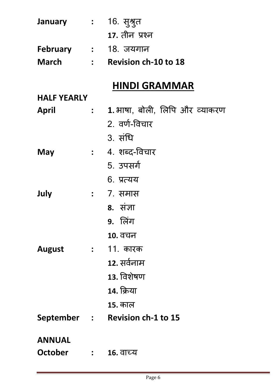| January            | $\mathcal{L}^{\text{max}}_{\text{max}}$ . The set of $\mathcal{L}^{\text{max}}_{\text{max}}$ | 16. सुश्रुत                             |
|--------------------|----------------------------------------------------------------------------------------------|-----------------------------------------|
|                    |                                                                                              | <b>17.</b> तीन प्रश्न                   |
|                    |                                                                                              | February : 18. जयगान                    |
| <b>March</b>       |                                                                                              | : Revision ch-10 to 18                  |
|                    |                                                                                              | <b>HINDI GRAMMAR</b>                    |
| <b>HALF YEARLY</b> |                                                                                              |                                         |
| April              |                                                                                              | <b>: 1.</b> भाषा, बोली, लिपि और व्याकरण |
|                    |                                                                                              | 2. वर्ण-विचार                           |
|                    |                                                                                              | 3. संधि                                 |
| May                |                                                                                              | <b>:</b> 4. शब्द-विचार                  |
|                    |                                                                                              | 5. उपसर्ग                               |
|                    |                                                                                              | 6. प्रत्यय                              |
| July               |                                                                                              | <b>:</b> 7. समास                        |
|                    |                                                                                              | <b>8.</b> संज्ञा                        |
|                    |                                                                                              | 9. लिंग                                 |
|                    |                                                                                              | 10. वचन                                 |
| <b>August</b>      | $\ddot{\bullet}$                                                                             | <u> 11. कारक</u>                        |
|                    |                                                                                              | <u>12. सर्वनाम</u>                      |
|                    |                                                                                              | 13. विशेषण                              |
|                    |                                                                                              | 14. क्रिया                              |
|                    |                                                                                              | <u>15. काल</u>                          |
| September :        |                                                                                              | <b>Revision ch-1 to 15</b>              |
| <b>ANNUAL</b>      |                                                                                              |                                         |
| <b>October</b>     | $\mathbf{L}$                                                                                 | <u>16. वाच्य</u>                        |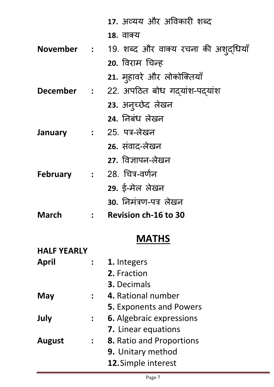|                |              | 17. अव्यय और अविकारी शब्द                       |
|----------------|--------------|-------------------------------------------------|
|                |              | 18. वाक्य                                       |
|                |              | November : 19. शब्द और वाक्य रचना की अशुद्धियाँ |
|                |              | 20. विराम चिन्ह                                 |
|                |              | 21. मुहावरे और लोकोक्तियाँ                      |
|                |              | December : 22. अपठित बोध गदयांश-पदयांश          |
|                |              | 23. अन्च्छेद लेखन                               |
|                |              | 24. निबंध लेखन                                  |
| <b>January</b> |              | : 25. पत्र-लेखन                                 |
|                |              | 26. संवाद-लेखन                                  |
|                |              | 27. विज्ञापन-लेखन                               |
|                |              | February : 28. चित्र-वर्णन                      |
|                |              | 29. ई-मेल लेखन                                  |
|                |              | 30. निमंत्रण-पत्र लेखन                          |
| <b>March</b>   | $\mathbf{L}$ | <b>Revision ch-16 to 30</b>                     |
|                |              |                                                 |

## **MATHS**

| <b>HALF YEARLY</b> |                      |                                 |
|--------------------|----------------------|---------------------------------|
| April              | $\ddot{\cdot}$       | 1. Integers                     |
|                    |                      | 2. Fraction                     |
|                    |                      | <b>3.</b> Decimals              |
| May                | $\cdot$              | 4. Rational number              |
|                    |                      | <b>5. Exponents and Powers</b>  |
| July               | $\ddot{\cdot}$       | <b>6.</b> Algebraic expressions |
|                    |                      | 7. Linear equations             |
| <b>August</b>      | $\ddot{\phantom{a}}$ | <b>8.</b> Ratio and Proportions |
|                    |                      | <b>9.</b> Unitary method        |
|                    |                      | 12. Simple interest             |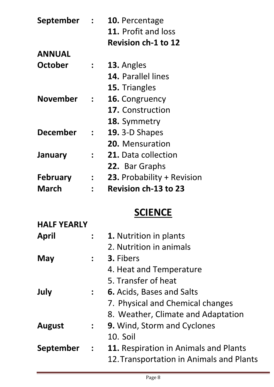| September       | $\ddot{\cdot}$ | 10. Percentage              |
|-----------------|----------------|-----------------------------|
|                 |                | 11. Profit and loss         |
|                 |                | <b>Revision ch-1 to 12</b>  |
| <b>ANNUAL</b>   |                |                             |
| October         |                | 13. Angles                  |
|                 |                | <b>14. Parallel lines</b>   |
|                 |                | 15. Triangles               |
| <b>November</b> | $\ddot{\cdot}$ | 16. Congruency              |
|                 |                | <b>17.</b> Construction     |
|                 |                | 18. Symmetry                |
| <b>December</b> | $\ddot{\cdot}$ | <b>19.</b> 3-D Shapes       |
|                 |                | 20. Mensuration             |
| January         |                | <b>21.</b> Data collection  |
|                 |                | 22. Bar Graphs              |
| <b>February</b> | $\ddot{\cdot}$ | 23. Probability + Revision  |
| March           |                | <b>Revision ch-13 to 23</b> |

## **SCIENCE**

| <b>HALF YEARLY</b> |                      |                                          |
|--------------------|----------------------|------------------------------------------|
| April              | $\ddot{\bullet}$     | <b>1.</b> Nutrition in plants            |
|                    |                      | 2. Nutrition in animals                  |
| May                | $\ddot{\cdot}$       | 3. Fibers                                |
|                    |                      | 4. Heat and Temperature                  |
|                    |                      | 5. Transfer of heat                      |
| July               | $\ddot{\bullet}$     | <b>6.</b> Acids, Bases and Salts         |
|                    |                      | 7. Physical and Chemical changes         |
|                    |                      | 8. Weather, Climate and Adaptation       |
| <b>August</b>      | $\ddot{\bullet}$     | <b>9.</b> Wind, Storm and Cyclones       |
|                    |                      | 10. Soil                                 |
| <b>September</b>   | $\ddot{\phantom{a}}$ | 11. Respiration in Animals and Plants    |
|                    |                      | 12. Transportation in Animals and Plants |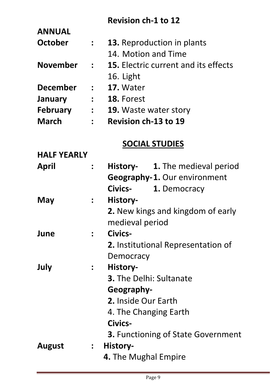#### **Revision ch-1 to 12**

| <b>ANNUAL</b>      |                             |                                             |
|--------------------|-----------------------------|---------------------------------------------|
| <b>October</b>     | $\mathbb{R}^n$              | <b>13.</b> Reproduction in plants           |
|                    |                             | 14. Motion and Time                         |
| <b>November</b>    | $\mathbf{L}$                | <b>15.</b> Electric current and its effects |
|                    |                             | 16. Light                                   |
| <b>December</b>    | $\mathcal{L} = \mathcal{L}$ | 17. Water                                   |
| <b>January</b>     | $\mathbf{r} = \mathbf{r}$   | 18. Forest                                  |
| <b>February</b>    |                             | <b>19.</b> Waste water story                |
| <b>March</b>       | $\mathbf{R}$                | <b>Revision ch-13 to 19</b>                 |
|                    |                             | <b>SOCIAL STUDIES</b>                       |
| <b>HALF YEARLY</b> |                             |                                             |
| April              | $\frac{1}{2}$               | History- 1. The medieval period             |
|                    |                             | <b>Geography-1. Our environment</b>         |
|                    |                             | Civics- 1. Democracy                        |
| May                | $\ddot{\bullet}$            | History-                                    |
|                    |                             | 2. New kings and kingdom of early           |
|                    |                             | medieval period                             |
| June               |                             | Civics-                                     |
|                    |                             | <b>2.</b> Institutional Representation of   |
|                    |                             | Democracy                                   |
| July               | $\ddot{\bullet}$            | History-                                    |
|                    |                             | <b>3.</b> The Delhi: Sultanate              |
|                    |                             | Geography-                                  |
|                    |                             | <b>2.</b> Inside Our Earth                  |
|                    |                             | 4. The Changing Earth                       |
|                    |                             | Civics-                                     |
|                    |                             | <b>3. Functioning of State Government</b>   |
| <b>August</b>      |                             | : History-                                  |
|                    |                             | 4. The Mughal Empire                        |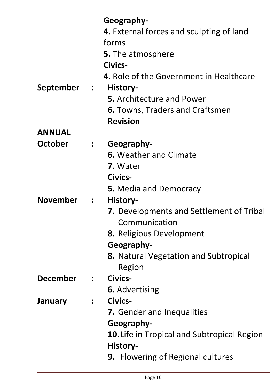|                 |                            | Geography-                                                     |
|-----------------|----------------------------|----------------------------------------------------------------|
|                 |                            | 4. External forces and sculpting of land                       |
|                 |                            | forms                                                          |
|                 |                            | <b>5.</b> The atmosphere                                       |
|                 |                            | Civics-                                                        |
|                 |                            | 4. Role of the Government in Healthcare                        |
| September       | $\mathcal{L}(\mathcal{L})$ | History-                                                       |
|                 |                            | <b>5.</b> Architecture and Power                               |
|                 |                            | <b>6.</b> Towns, Traders and Craftsmen                         |
|                 |                            | <b>Revision</b>                                                |
| <b>ANNUAL</b>   |                            |                                                                |
| October         | $\ddot{\bullet}$           | Geography-                                                     |
|                 |                            | <b>6. Weather and Climate</b>                                  |
|                 |                            | <b>7.</b> Water                                                |
|                 |                            | Civics-                                                        |
|                 |                            | <b>5.</b> Media and Democracy                                  |
| <b>November</b> | $\ddot{\phantom{a}}$       | History-                                                       |
|                 |                            | <b>7.</b> Developments and Settlement of Tribal                |
|                 |                            | Communication                                                  |
|                 |                            | <b>8.</b> Religious Development                                |
|                 |                            | Geography-                                                     |
|                 |                            | <b>8.</b> Natural Vegetation and Subtropical                   |
|                 |                            | Region                                                         |
| <b>December</b> | $\ddot{\bullet}$           | Civics-                                                        |
|                 |                            | <b>6.</b> Advertising                                          |
| <b>January</b>  | $\ddot{\bullet}$           | Civics-                                                        |
|                 |                            | <b>7.</b> Gender and Inequalities                              |
|                 |                            | Geography-                                                     |
|                 |                            | <b>10.</b> Life in Tropical and Subtropical Region<br>History- |
|                 |                            | <b>9.</b> Flowering of Regional cultures                       |
|                 |                            |                                                                |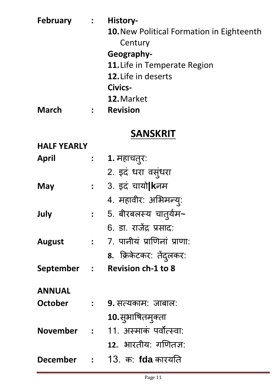| <b>February</b>    | $\mathbf{r}$  | History-                                            |
|--------------------|---------------|-----------------------------------------------------|
|                    |               | <b>10. New Political Formation in Eighteenth</b>    |
|                    |               | Century                                             |
|                    |               | Geography-                                          |
|                    |               | 11. Life in Temperate Region<br>12. Life in deserts |
|                    |               | Civics-                                             |
|                    |               | 12. Market                                          |
| <b>March</b>       | $\mathbf{r}$  | <b>Revision</b>                                     |
|                    |               |                                                     |
|                    |               | <b>SANSKRIT</b>                                     |
| <b>HALF YEARLY</b> |               |                                                     |
| April              | $\frac{1}{2}$ | 1. महाचतुरः                                         |
|                    |               | 2. इदं धरा वसुंधरा                                  |
| May                |               | : 3. इदं चायो <b> k</b> नम                          |
|                    |               | 4. महावीर: अभिमन्यू:                                |
| July               |               | : 5. बीरबलस्य चातुर्यम~                             |
|                    |               | 6. डा. राजेंद्र प्रसाद:                             |
| <b>August</b>      |               | : 7. पानीयं प्राणिनां प्राणा:                       |
|                    |               | 8. क्रिकेटकर: तेंदुलकर:                             |
|                    |               | September : Revision ch-1 to 8                      |
| <b>ANNUAL</b>      |               |                                                     |
|                    |               |                                                     |

**October : 9.** सत्यकाम: जाबाऱ: **10.**सु भावषतम ु क्ता **November :** 11. अस्माकं पवोत्स्वा: 12. भारतीय: गणितज्ञ: **December :** 13. क: **fda** कारयनत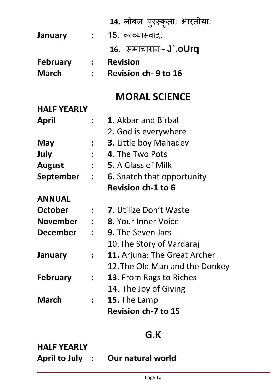|                    |                                         | 14. नोबल पुरस्कृता: भारतीया:        |
|--------------------|-----------------------------------------|-------------------------------------|
| <b>January</b>     |                                         | 15. काव्यास्वाद:                    |
|                    |                                         | 16. समाचारान~ <b>J'.oUrg</b>        |
| <b>February</b>    |                                         | <b>Revision</b>                     |
| <b>March</b>       |                                         | <b>Revision ch-9 to 16</b>          |
|                    |                                         | <b>MORAL SCIENCE</b>                |
| <b>HALF YEARLY</b> |                                         |                                     |
| <b>April</b>       |                                         | <b>1.</b> Akbar and Birbal          |
|                    |                                         | 2. God is everywhere                |
| May                |                                         | <b>3.</b> Little boy Mahadev        |
| July               |                                         | 4. The Two Pots                     |
| <b>August</b>      |                                         | <b>5.</b> A Glass of Milk           |
| <b>September</b>   | $\mathcal{L}^{\text{max}}_{\text{max}}$ | <b>6.</b> Snatch that opportunity   |
|                    |                                         | <b>Revision ch-1 to 6</b>           |
| <b>ANNUAL</b>      |                                         |                                     |
| <b>October</b>     |                                         | <b>7.</b> Utilize Don't Waste       |
| <b>November</b>    |                                         | <b>8.</b> Your Inner Voice          |
| <b>December</b>    | $\mathbf{r}$                            | <b>9.</b> The Seven Jars            |
|                    |                                         | 10. The Story of Vardaraj           |
| <b>January</b>     |                                         | <b>11.</b> Arjuna: The Great Archer |
|                    |                                         | 12. The Old Man and the Donkey      |
| <b>February</b>    |                                         | <b>13.</b> From Rags to Riches      |
|                    |                                         | 14. The Joy of Giving               |
| <b>March</b>       |                                         | 15. The Lamp                        |
|                    |                                         | <b>Revision ch-7 to 15</b>          |

# **G.K**

**HALF YEARLY**

**April to July : Our natural world**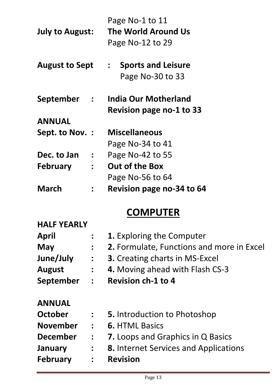|                                   | Page No-1 to 11                            |
|-----------------------------------|--------------------------------------------|
| <b>July to August:</b>            | The World Around Us                        |
|                                   | Page No-12 to 29                           |
| <b>August to Sept</b>             | <b>Sports and Leisure</b><br>$\frac{1}{2}$ |
|                                   | Page No-30 to 33                           |
| September :                       | India Our Motherland                       |
|                                   | <b>Revision page no-1 to 33</b>            |
| <b>ANNUAL</b>                     |                                            |
| Sept. to Nov. :                   | <b>Miscellaneous</b>                       |
|                                   | Page No-34 to 41                           |
| Dec. to Jan                       | Page No-42 to 55                           |
| <b>February</b><br>$\ddot{\cdot}$ | <b>Out of the Box</b>                      |
|                                   | Page No-56 to 64                           |
| March                             | Revision page no-34 to 64                  |

## **COMPUTER**

| <b>HALF YEARLY</b> |                              |                                              |
|--------------------|------------------------------|----------------------------------------------|
| <b>April</b>       | $\ddot{\bullet}$             | <b>1.</b> Exploring the Computer             |
| <b>May</b>         | $\ddot{\phantom{a}}$         | 2. Formulate, Functions and more in Excel    |
| June/July          | $\ddot{\bullet}$             | <b>3.</b> Creating charts in MS-Excel        |
| <b>August</b>      | $\overset{\bullet}{\bullet}$ | 4. Moving ahead with Flash CS-3              |
| September          | $\ddot{\bullet}$             | <b>Revision ch-1 to 4</b>                    |
| <b>ANNUAL</b>      |                              |                                              |
| October            | $\frac{1}{2}$                | <b>5.</b> Introduction to Photoshop          |
| <b>November</b>    | $\ddot{\cdot}$               | <b>6. HTML Basics</b>                        |
| <b>December</b>    | $\overset{\bullet}{\bullet}$ | <b>7.</b> Loops and Graphics in Q Basics     |
| January            | $\overset{\bullet}{\bullet}$ | <b>8.</b> Internet Services and Applications |
| <b>February</b>    |                              | <b>Revision</b>                              |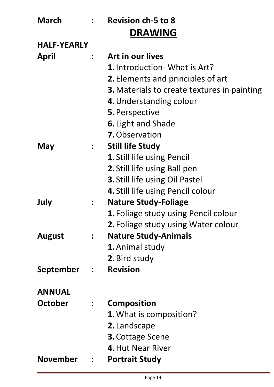| <b>March</b>       |                  | : Revision ch-5 to 8                               |
|--------------------|------------------|----------------------------------------------------|
|                    |                  | <b>DRAWING</b>                                     |
| <b>HALF-YEARLY</b> |                  |                                                    |
| April              | $\ddot{\cdot}$   | Art in our lives                                   |
|                    |                  | <b>1.</b> Introduction- What is Art?               |
|                    |                  | <b>2.</b> Elements and principles of art           |
|                    |                  | <b>3.</b> Materials to create textures in painting |
|                    |                  | 4. Understanding colour                            |
|                    |                  | 5. Perspective                                     |
|                    |                  | <b>6.</b> Light and Shade                          |
|                    |                  | <b>7.</b> Observation                              |
| May                | $\frac{1}{2}$    | <b>Still life Study</b>                            |
|                    |                  | 1. Still life using Pencil                         |
|                    |                  | 2. Still life using Ball pen                       |
|                    |                  | 3. Still life using Oil Pastel                     |
|                    |                  | 4. Still life using Pencil colour                  |
| July               | $\ddot{\bullet}$ | <b>Nature Study-Foliage</b>                        |
|                    |                  | <b>1.</b> Foliage study using Pencil colour        |
|                    |                  | <b>2.</b> Foliage study using Water colour         |
| <b>August</b>      | $\ddot{\bullet}$ | <b>Nature Study-Animals</b>                        |
|                    |                  | <b>1.</b> Animal study                             |
|                    |                  | 2. Bird study                                      |
| September          | $\frac{1}{2}$    | <b>Revision</b>                                    |
| <b>ANNUAL</b>      |                  |                                                    |
| October            | $\frac{1}{2}$    | <b>Composition</b>                                 |
|                    |                  | <b>1.</b> What is composition?                     |
|                    |                  | 2. Landscape                                       |
|                    |                  | <b>3. Cottage Scene</b>                            |
|                    |                  | 4. Hut Near River                                  |
| <b>November</b>    | $\mathbf{L}$     | <b>Portrait Study</b>                              |